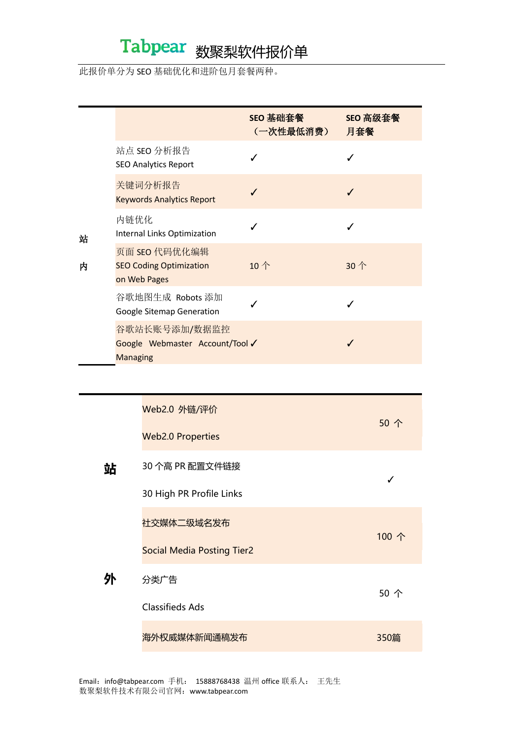## Tabpear 数聚梨软件报价单

#### 此报价单分为 SEO 基础优化和进阶包月套餐两种。

|        |                                                                     | SEO 基础套餐<br>(一次性最低消费) | SEO 高级套餐<br>月套餐 |
|--------|---------------------------------------------------------------------|-----------------------|-----------------|
|        | 站点 SEO 分析报告<br><b>SEO Analytics Report</b>                          |                       |                 |
|        | 关键词分析报告<br><b>Keywords Analytics Report</b>                         |                       |                 |
| 站<br>内 | 内链优化<br>Internal Links Optimization                                 |                       |                 |
|        | 页面 SEO 代码优化编辑<br><b>SEO Coding Optimization</b><br>on Web Pages     | 10个                   | 30个             |
|        | 谷歌地图生成 Robots 添加<br>Google Sitemap Generation                       |                       |                 |
|        | 谷歌站长账号添加/数据监控<br>Google Webmaster Account/Tool √<br><b>Managing</b> |                       |                 |
|        |                                                                     |                       |                 |

|   | Web2.0 外链/评价<br><b>Web2.0 Properties</b> | 50 个  |
|---|------------------------------------------|-------|
| 站 | 30 个高 PR 配置文件链接                          |       |
|   | 30 High PR Profile Links                 |       |
|   | 社交媒体二级域名发布                               | 100 个 |
|   | <b>Social Media Posting Tier2</b>        |       |
| 外 | 分类广告                                     | 50 个  |
|   | <b>Classifieds Ads</b>                   |       |
|   | 海外权威媒体新闻通稿发布                             | 350篇  |

Email: info@tabpear.com 手机: 15888768438 温州 office 联系人: 王先生 数聚梨软件技术有限公司官网:www.tabpear.com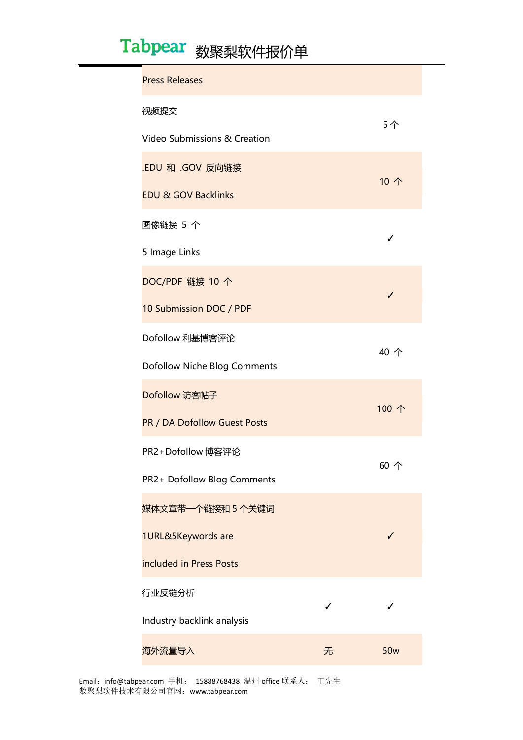# Tabpear 数聚梨软件报价单

| <b>Press Releases</b>               |    |                 |  |  |
|-------------------------------------|----|-----------------|--|--|
| 视频提交                                | 5个 |                 |  |  |
| Video Submissions & Creation        |    |                 |  |  |
| .EDU 和 .GOV 反向链接                    |    | 10个             |  |  |
| <b>EDU &amp; GOV Backlinks</b>      |    |                 |  |  |
| 图像链接 5 个                            | ✓  |                 |  |  |
| 5 Image Links                       |    |                 |  |  |
| DOC/PDF 链接 10 个                     |    | ✓               |  |  |
| 10 Submission DOC / PDF             |    |                 |  |  |
| Dofollow 利基博客评论                     |    | 40 个            |  |  |
| <b>Dofollow Niche Blog Comments</b> |    |                 |  |  |
| Dofollow 访客帖子                       |    | 100 个           |  |  |
| <b>PR / DA Dofollow Guest Posts</b> |    |                 |  |  |
| PR2+Dofollow 博客评论                   |    | 60个             |  |  |
| PR2+ Dofollow Blog Comments         |    |                 |  |  |
| 媒体文章带一个链接和 5 个关键词                   |    |                 |  |  |
| 1URL&5Keywords are                  |    | J               |  |  |
| included in Press Posts             |    |                 |  |  |
| 行业反链分析                              |    |                 |  |  |
| Industry backlink analysis          |    |                 |  |  |
| 海外流量导入                              | 无  | 50 <sub>w</sub> |  |  |